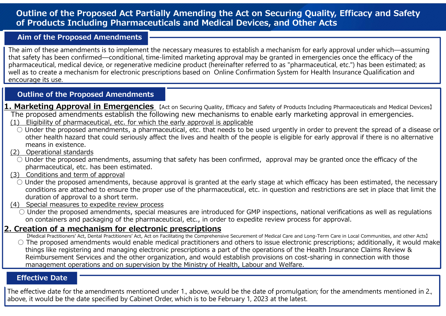## Outline of the Proposed Act Partially Amending the Act on Securing Quality, Efficacy and Safety of Products Including Pharmaceuticals and Medical Devices, and Other Acts

## Aim of the Proposed Amendments

Outline of the Proposed Act Partially Amending the Act on Securing Quality, En<br>
of Products Including Pharmaceuticals and Medical Devices, and Other Acts<br>
Aim of the Proposed Amendments<br>
The aim of these amendments is to i **Outline of the Proposed Act Partially Amending the Act on Securing Quality, Efficacy and Safety<br>
The Products Including Pharmaceuticals and Medical Devices, and Other Acts<br>
Aim of the Proposed Amendments<br>
aim of these ame Aim of the Proposed Amendments**<br>
The aim of these amendments is to implement the necessary m<br>
that safety has been confirmed—conditional, time-limited mark<br>
bharmaceutical, medical device, or regenerative medicine produc **Example 10** and these amendments is to implement the necessary measures to establish a mechanism for early approval under which—assuming<br>that safety has been confirmed—conditional, time-limited marketing approval may be that safety has been confirmed—conditional, time-limited mark<br>oharmaceutical, medical device, or regenerative medicine produl<br>as to create a mechanism for electronic prescriptions based<br>encourage its use.<br>**Cultine of the** The aim of these amendments is to implement the necessary measures to establish a mechanism for early approval under which―assuming that safety has been confirmed―conditional, time-limited marketing approval may be granted in emergencies once the efficacy of the **Outline of the Proposed Act Partially Amending the Act on Securing Quality, Efficacy and Safety<br>
of Products Including Pharmaceuticals and Medical Devices, and Other Acts<br>
Aim of the Proposed Amendments<br>
The aim of these** well as to create a mechanism for electronic prescriptions based on Online Confirmation System for Health Insurance Qualification and encourage its use.

## Outline of the Proposed Amendments

- 1. Marketing Approval in Emergencies [Act on Securing Quality, Efficacy and Safety of Products Including Pharmaceuticals and Medical Devices] The proposed amendments establish the following new mechanisms to enable early marketing approval in emergencies.<br>(1) Eligibility of pharmaceutical, etc. for which the early approval is applicable
	-
- other health hazard that could seriously affect the lives and health of the people is eligible for early approval if there is no alternative means in existence.<br>(2) Operational standards armaceutical, received amendments, assuming that safety in medicinal evidents are ferred to as "pharmaceutical, etc.") has been estimated at the proposed amendments<br>
Durific of the Proposed Amendments<br>
Parketing Approval i **COMBIG Special Measures COMBIG ADVENTIFY (1)**<br> **CONDIG SPECIED ADVENDENT CONDUCT THE PROPOSED AND METALLY OF PROPOSED ADVENTIFY OF PROPOSED annotation and review proposed and means in existence.<br>
(2) Observe the proposed** 
	-
	- pharmaceutical, etc. has been estimated.
	- - conditions are attached to ensure the proper use of the pharmaceutical, etc. in question and restrictions are set in place that limit the duration of approval to a short term.
	- - on containers and packaging of the pharmaceutical, etc., in order to expedite review process for approval.

# 2. Creation of a mechanism for electronic prescriptions

- Medical Practitioners' Act, Dental Practitioners' Act, Act on Facilitating the Comprehensive Securement of Medical Care and Long-Term Care in Local Communities, and other Acts]<br>
The proposed amendments would enable medical
- Under the proposed amendments, assuming that safety has been confirmed, approval may be granted once the efficacy of the<br>
(3) Conditions and term of approval<br>
∴ Under the proposed amendments, because approval is granted **Durline of the Proposed Amendments**<br> **Intracting Approval in Emergencies**<br> **Elialibity of Financetius and Security Filices of Products and Medical Devices)**<br> **Elialibity of pharmaceutical, etc.** (brownln the early approva <u>Froguenty of primitsecture, tect. The very septimized the spin-tectronic proposed amendments, a pharmaceutical, etc. that needs to be used urgently in order to prevent the spread of a disease or other health hazard that</u> things like registering and managing electronic prescriptions a part of the operations of the Health Insurance Claims Review & Reimbursement Services and the other organization, and would establish provisions on cost-sharing in connection with those<br>management operations and on supervision by the Ministry of Health, Labour and Welfare. means in existence.<br>
The operational standards<br>
Operational standards<br>
Under the proposed amendments, assuming that safety has been confirmed, approval may be granted once the efficacy of the<br>
Under the proposed amendments

## Effective Date

above, it would be the date specified by Cabinet Order, which is to be February 1, 2023 at the latest.